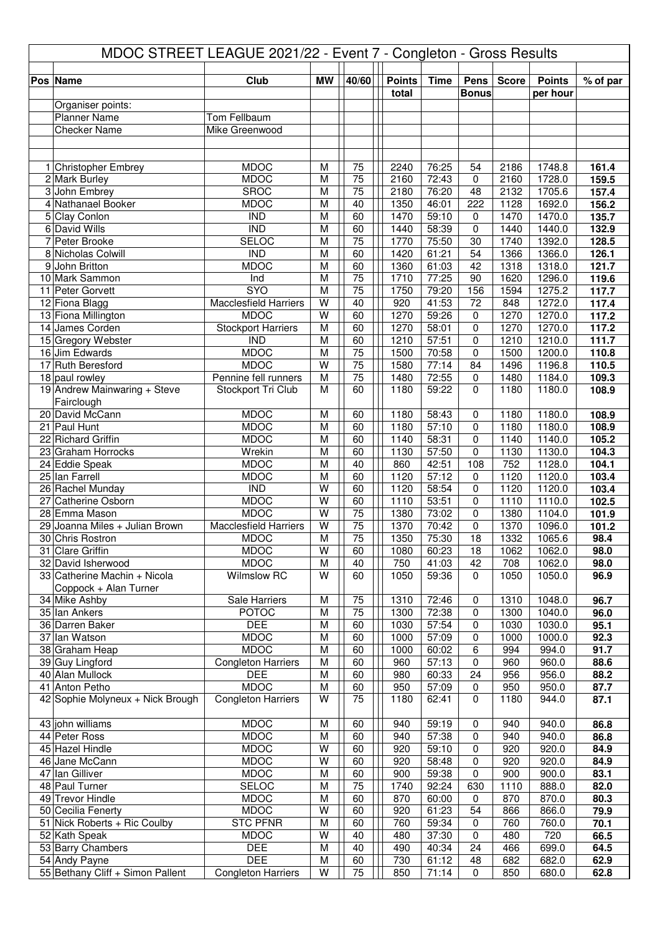|    | MDOC STREET LEAGUE 2021/22 - Event 7 - Congleton - Gross Results |                                             |           |                       |               |                |                |              |                  |                |  |  |  |
|----|------------------------------------------------------------------|---------------------------------------------|-----------|-----------------------|---------------|----------------|----------------|--------------|------------------|----------------|--|--|--|
|    | Pos Name                                                         | Club                                        | <b>MW</b> | 40/60                 | <b>Points</b> | <b>Time</b>    | Pens           | <b>Score</b> | <b>Points</b>    | % of par       |  |  |  |
|    |                                                                  |                                             |           |                       | total         |                | <b>Bonus</b>   |              | per hour         |                |  |  |  |
|    | Organiser points:                                                |                                             |           |                       |               |                |                |              |                  |                |  |  |  |
|    | <b>Planner Name</b>                                              | Tom Fellbaum                                |           |                       |               |                |                |              |                  |                |  |  |  |
|    | <b>Checker Name</b>                                              | Mike Greenwood                              |           |                       |               |                |                |              |                  |                |  |  |  |
|    |                                                                  |                                             |           |                       |               |                |                |              |                  |                |  |  |  |
|    | 1 Christopher Embrey                                             | <b>MDOC</b>                                 | M         | 75                    | 2240          | 76:25          | 54             | 2186         | 1748.8           | 161.4          |  |  |  |
|    | 2 Mark Burley                                                    | <b>MDOC</b>                                 | M         | 75                    | 2160          | 72:43          | 0              | 2160         | 1728.0           | 159.5          |  |  |  |
|    | 3 John Embrey                                                    | <b>SROC</b>                                 | M         | 75                    | 2180          | 76:20          | 48             | 2132         | 1705.6           | 157.4          |  |  |  |
|    | 4 Nathanael Booker                                               | <b>MDOC</b>                                 | M         | 40                    | 1350          | 46:01          | 222            | 1128         | 1692.0           | 156.2          |  |  |  |
|    | 5 Clay Conlon                                                    | <b>IND</b>                                  | M         | 60                    | 1470          | 59:10          | 0              | 1470         | 1470.0           | 135.7          |  |  |  |
|    | 6 David Wills<br>7 Peter Brooke                                  | <b>IND</b><br><b>SELOC</b>                  | M<br>M    | 60<br>75              | 1440<br>1770  | 58:39<br>75:50 | $\Omega$<br>30 | 1440<br>1740 | 1440.0<br>1392.0 | 132.9<br>128.5 |  |  |  |
|    | 8 Nicholas Colwill                                               | $\overline{IND}$                            | M         | 60                    | 1420          | 61:21          | 54             | 1366         | 1366.0           | 126.1          |  |  |  |
|    | 9 John Britton                                                   | <b>MDOC</b>                                 | M         | 60                    | 1360          | 61:03          | 42             | 1318         | 1318.0           | 121.7          |  |  |  |
|    | 10 Mark Sammon                                                   | Ind                                         | M         | $\overline{75}$       | 1710          | 77:25          | 90             | 1620         | 1296.0           | 119.6          |  |  |  |
|    | 11 Peter Gorvett                                                 | <b>SYO</b>                                  | M         | 75                    | 1750          | 79:20          | 156            | 1594         | 1275.2           | 117.7          |  |  |  |
|    | 12 Fiona Blagg                                                   | <b>Macclesfield Harriers</b>                | W         | 40                    | 920           | 41:53          | 72             | 848          | 1272.0           | 117.4          |  |  |  |
|    | 13 Fiona Millington                                              | <b>MDOC</b>                                 | W         | 60                    | 1270          | 59:26          | 0              | 1270         | 1270.0           | 117.2          |  |  |  |
|    | 14 James Corden<br>15 Gregory Webster                            | <b>Stockport Harriers</b><br><b>IND</b>     | M<br>M    | 60<br>60              | 1270<br>1210  | 58:01<br>57:51 | 0<br>0         | 1270<br>1210 | 1270.0<br>1210.0 | 117.2<br>111.7 |  |  |  |
|    | 16 Jim Edwards                                                   | <b>MDOC</b>                                 | M         | 75                    | 1500          | 70:58          | 0              | 1500         | 1200.0           | 110.8          |  |  |  |
|    | 17 Ruth Beresford                                                | <b>MDOC</b>                                 | W         | 75                    | 1580          | 77:14          | 84             | 1496         | 1196.8           | 110.5          |  |  |  |
|    | 18 paul rowley                                                   | Pennine fell runners                        | M         | 75                    | 1480          | 72:55          | 0              | 1480         | 1184.0           | 109.3          |  |  |  |
|    | 19 Andrew Mainwaring + Steve                                     | Stockport Tri Club                          | M         | 60                    | 1180          | 59:22          | $\Omega$       | 1180         | 1180.0           | 108.9          |  |  |  |
|    | Fairclough                                                       |                                             |           |                       |               |                |                |              |                  |                |  |  |  |
|    | 20 David McCann                                                  | <b>MDOC</b>                                 | M         | 60                    | 1180          | 58:43          | 0              | 1180         | 1180.0           | 108.9          |  |  |  |
|    | 21 Paul Hunt<br>22 Richard Griffin                               | <b>MDOC</b><br><b>MDOC</b>                  | M<br>M    | 60                    | 1180<br>1140  | 57:10<br>58:31 | 0<br>0         | 1180<br>1140 | 1180.0           | 108.9<br>105.2 |  |  |  |
|    | 23 Graham Horrocks                                               | Wrekin                                      | M         | 60<br>60              | 1130          | 57:50          | $\Omega$       | 1130         | 1140.0<br>1130.0 | 104.3          |  |  |  |
|    | 24 Eddie Speak                                                   | <b>MDOC</b>                                 | M         | 40                    | 860           | 42:51          | 108            | 752          | 1128.0           | 104.1          |  |  |  |
|    | 25 Ian Farrell                                                   | <b>MDOC</b>                                 | M         | 60                    | 1120          | 57:12          | 0              | 1120         | 1120.0           | 103.4          |  |  |  |
|    | 26 Rachel Munday                                                 | <b>IND</b>                                  | W         | 60                    | 1120          | 58:54          | 0              | 1120         | 1120.0           | 103.4          |  |  |  |
| 27 | <b>Catherine Osborn</b>                                          | <b>MDOC</b>                                 | W         | 60                    | 1110          | 53:51          | 0              | 1110         | 1110.0           | 102.5          |  |  |  |
|    | 28 Emma Mason                                                    | <b>MDOC</b>                                 | W         | 75                    | 1380          | 73:02          | 0              | 1380         | 1104.0           | 101.9          |  |  |  |
|    | 29 Joanna Miles + Julian Brown<br>30 Chris Rostron               | <b>Macclesfield Harriers</b><br><b>MDOC</b> | W<br>M    | 75<br>$\overline{75}$ | 1370<br>1350  | 70:42<br>75:30 | 0<br>18        | 1370<br>1332 | 1096.0<br>1065.6 | 101.2<br>98.4  |  |  |  |
|    | 31 Clare Griffin                                                 | <b>MDOC</b>                                 | W         | 60                    | 1080          | 60:23          | 18             | 1062         | 1062.0           | 98.0           |  |  |  |
|    | 32 David Isherwood                                               | <b>MDOC</b>                                 | M         | 40                    | 750           | 41:03          | 42             | 708          | 1062.0           | 98.0           |  |  |  |
|    | 33 Catherine Machin + Nicola                                     | Wilmslow RC                                 | W         | 60                    | 1050          | 59:36          | $\mathbf 0$    | 1050         | 1050.0           | 96.9           |  |  |  |
|    | Coppock + Alan Turner                                            |                                             |           |                       |               |                |                |              |                  |                |  |  |  |
|    | 34 Mike Ashby                                                    | Sale Harriers                               | M         | 75                    | 1310          | 72:46          | 0              | 1310         | 1048.0           | 96.7           |  |  |  |
|    | 35 Ian Ankers                                                    | <b>POTOC</b>                                | M         | 75                    | 1300          | 72:38          | 0              | 1300         | 1040.0           | 96.0           |  |  |  |
|    | 36 Darren Baker<br>37 Ian Watson                                 | <b>DEE</b><br><b>MDOC</b>                   | M<br>M    | 60<br>60              | 1030<br>1000  | 57:54<br>57:09 | 0<br>0         | 1030<br>1000 | 1030.0<br>1000.0 | 95.1<br>92.3   |  |  |  |
|    | 38 Graham Heap                                                   | <b>MDOC</b>                                 | M         | 60                    | 1000          | 60:02          | 6              | 994          | 994.0            | 91.7           |  |  |  |
|    | 39 Guy Lingford                                                  | <b>Congleton Harriers</b>                   | M         | 60                    | 960           | 57:13          | 0              | 960          | 960.0            | 88.6           |  |  |  |
|    | 40 Alan Mullock                                                  | <b>DEE</b>                                  | M         | 60                    | 980           | 60:33          | 24             | 956          | 956.0            | 88.2           |  |  |  |
|    | 41 Anton Petho                                                   | <b>MDOC</b>                                 | M         | 60                    | 950           | 57:09          | 0              | 950          | 950.0            | 87.7           |  |  |  |
|    | 42 Sophie Molyneux + Nick Brough                                 | <b>Congleton Harriers</b>                   | W         | 75                    | 1180          | 62:41          | $\mathbf 0$    | 1180         | 944.0            | 87.1           |  |  |  |
|    |                                                                  |                                             |           |                       |               |                |                |              |                  |                |  |  |  |
|    | 43 john williams<br>44 Peter Ross                                | <b>MDOC</b><br><b>MDOC</b>                  | M<br>M    | 60<br>60              | 940<br>940    | 59:19<br>57:38 | 0<br>0         | 940<br>940   | 940.0<br>940.0   | 86.8<br>86.8   |  |  |  |
|    | 45 Hazel Hindle                                                  | <b>MDOC</b>                                 | W         | 60                    | 920           | 59:10          | 0              | 920          | 920.0            | 84.9           |  |  |  |
|    | 46 Jane McCann                                                   | <b>MDOC</b>                                 | W         | 60                    | 920           | 58:48          | 0              | 920          | 920.0            | 84.9           |  |  |  |
|    | 47 Ian Gilliver                                                  | <b>MDOC</b>                                 | M         | 60                    | 900           | 59:38          | 0              | 900          | 900.0            | 83.1           |  |  |  |
|    | 48 Paul Turner                                                   | SELOC                                       | M         | 75                    | 1740          | 92:24          | 630            | 1110         | 888.0            | 82.0           |  |  |  |
|    | 49 Trevor Hindle                                                 | <b>MDOC</b>                                 | M         | 60                    | 870           | 60:00          | 0              | 870          | 870.0            | 80.3           |  |  |  |
|    | 50 Cecilia Fenerty                                               | <b>MDOC</b>                                 | W         | 60                    | 920           | 61:23          | 54             | 866          | 866.0            | 79.9           |  |  |  |
|    | 51 Nick Roberts + Ric Coulby<br>52 Kath Speak                    | <b>STC PFNR</b><br><b>MDOC</b>              | M<br>W    | 60<br>40              | 760<br>480    | 59:34<br>37:30 | 0<br>0         | 760<br>480   | 760.0<br>720     | 70.1<br>66.5   |  |  |  |
|    | 53 Barry Chambers                                                | <b>DEE</b>                                  | M         | 40                    | 490           | 40:34          | 24             | 466          | 699.0            | 64.5           |  |  |  |
|    | 54 Andy Payne                                                    | <b>DEE</b>                                  | M         | 60                    | 730           | 61:12          | 48             | 682          | 682.0            | 62.9           |  |  |  |
|    | 55 Bethany Cliff + Simon Pallent                                 | <b>Congleton Harriers</b>                   | W         | 75                    | 850           | 71:14          | 0              | 850          | 680.0            | 62.8           |  |  |  |